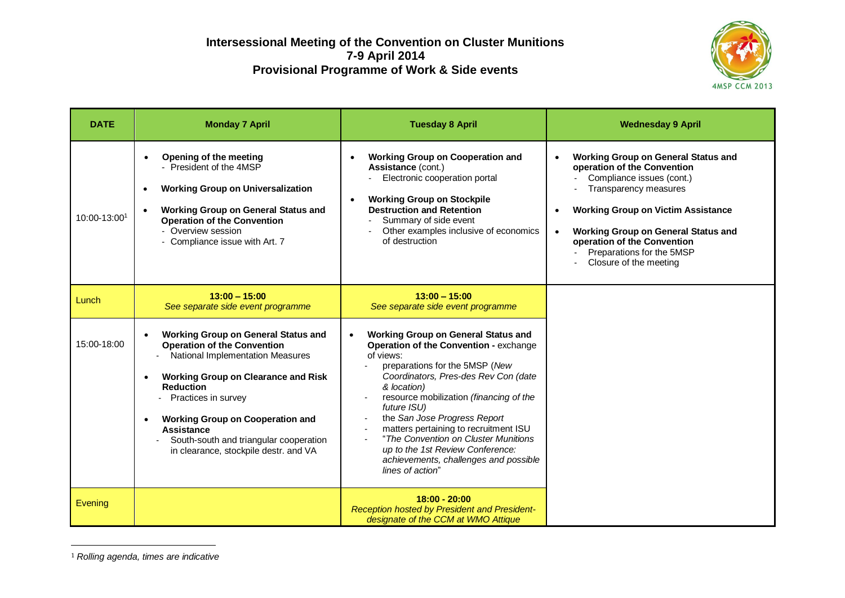

| <b>DATE</b>  | <b>Monday 7 April</b>                                                                                                                                                                                                                                                                                                                                                         | <b>Tuesday 8 April</b>                                                                                                                                                                                                                                                                                                                                                                                                                                                              | <b>Wednesday 9 April</b>                                                                                                                                                                                                                                                                                                                                       |
|--------------|-------------------------------------------------------------------------------------------------------------------------------------------------------------------------------------------------------------------------------------------------------------------------------------------------------------------------------------------------------------------------------|-------------------------------------------------------------------------------------------------------------------------------------------------------------------------------------------------------------------------------------------------------------------------------------------------------------------------------------------------------------------------------------------------------------------------------------------------------------------------------------|----------------------------------------------------------------------------------------------------------------------------------------------------------------------------------------------------------------------------------------------------------------------------------------------------------------------------------------------------------------|
| 10:00-13:001 | <b>Opening of the meeting</b><br>- President of the 4MSP<br><b>Working Group on Universalization</b><br>$\bullet$<br><b>Working Group on General Status and</b><br>$\bullet$<br><b>Operation of the Convention</b><br>- Overview session<br>- Compliance issue with Art. 7                                                                                                    | <b>Working Group on Cooperation and</b><br>Assistance (cont.)<br>Electronic cooperation portal<br><b>Working Group on Stockpile</b><br>$\bullet$<br><b>Destruction and Retention</b><br>Summary of side event<br>Other examples inclusive of economics<br>of destruction                                                                                                                                                                                                            | <b>Working Group on General Status and</b><br>$\bullet$<br>operation of the Convention<br>Compliance issues (cont.)<br><b>Transparency measures</b><br><b>Working Group on Victim Assistance</b><br>$\bullet$<br><b>Working Group on General Status and</b><br>$\bullet$<br>operation of the Convention<br>Preparations for the 5MSP<br>Closure of the meeting |
| Lunch        | $13:00 - 15:00$<br>See separate side event programme                                                                                                                                                                                                                                                                                                                          | $13:00 - 15:00$<br>See separate side event programme                                                                                                                                                                                                                                                                                                                                                                                                                                |                                                                                                                                                                                                                                                                                                                                                                |
| 15:00-18:00  | <b>Working Group on General Status and</b><br>$\bullet$<br><b>Operation of the Convention</b><br>National Implementation Measures<br><b>Working Group on Clearance and Risk</b><br><b>Reduction</b><br>Practices in survey<br><b>Working Group on Cooperation and</b><br><b>Assistance</b><br>South-south and triangular cooperation<br>in clearance, stockpile destr. and VA | <b>Working Group on General Status and</b><br>$\bullet$<br>Operation of the Convention - exchange<br>of views:<br>preparations for the 5MSP (New<br>Coordinators, Pres-des Rev Con (date<br>& location)<br>resource mobilization (financing of the<br>future ISU)<br>the San Jose Progress Report<br>matters pertaining to recruitment ISU<br>"The Convention on Cluster Munitions<br>up to the 1st Review Conference:<br>achievements, challenges and possible<br>lines of action" |                                                                                                                                                                                                                                                                                                                                                                |
| Evening      |                                                                                                                                                                                                                                                                                                                                                                               | $18:00 - 20:00$<br><b>Reception hosted by President and President-</b><br>designate of the CCM at WMO Attique                                                                                                                                                                                                                                                                                                                                                                       |                                                                                                                                                                                                                                                                                                                                                                |

<sup>1</sup> *Rolling agenda, times are indicative*

<u>.</u>